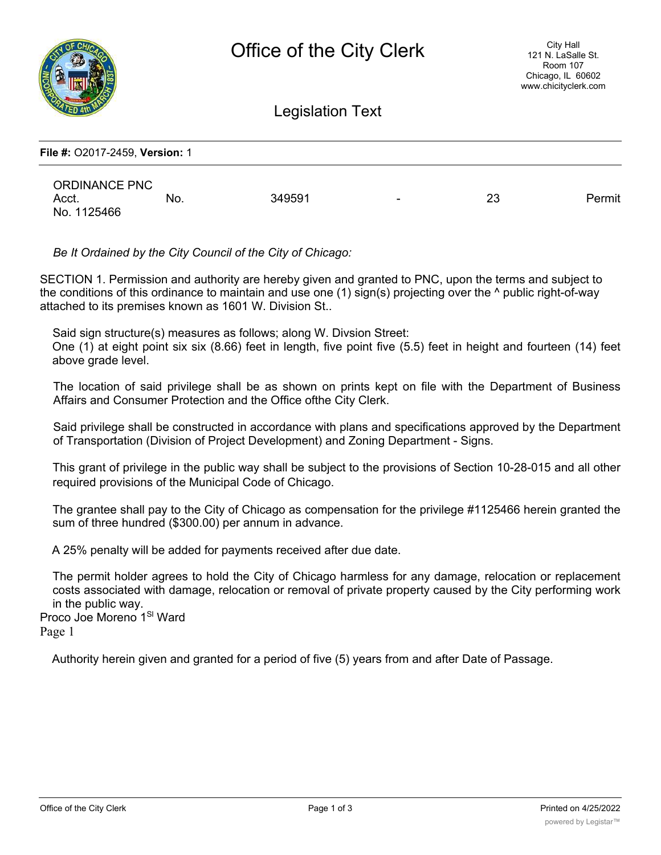

Legislation Text

| File #: 02017-2459, Version: 1 |     |        |                          |    |        |
|--------------------------------|-----|--------|--------------------------|----|--------|
| <b>ORDINANCE PNC</b>           |     |        |                          |    |        |
| Acct.<br>No. 1125466           | No. | 349591 | $\overline{\phantom{a}}$ | 23 | Permit |

*Be It Ordained by the City Council of the City of Chicago:*

SECTION 1. Permission and authority are hereby given and granted to PNC, upon the terms and subject to the conditions of this ordinance to maintain and use one (1) sign(s) projecting over the ^ public right-of-way attached to its premises known as 1601 W. Division St..

Said sign structure(s) measures as follows; along W. Divsion Street:

One (1) at eight point six six (8.66) feet in length, five point five (5.5) feet in height and fourteen (14) feet above grade level.

The location of said privilege shall be as shown on prints kept on file with the Department of Business Affairs and Consumer Protection and the Office ofthe City Clerk.

Said privilege shall be constructed in accordance with plans and specifications approved by the Department of Transportation (Division of Project Development) and Zoning Department - Signs.

This grant of privilege in the public way shall be subject to the provisions of Section 10-28-015 and all other required provisions of the Municipal Code of Chicago.

The grantee shall pay to the City of Chicago as compensation for the privilege #1125466 herein granted the sum of three hundred (\$300.00) per annum in advance.

A 25% penalty will be added for payments received after due date.

The permit holder agrees to hold the City of Chicago harmless for any damage, relocation or replacement costs associated with damage, relocation or removal of private property caused by the City performing work in the public way.

Proco Joe Moreno 1<sup>SI</sup> Ward Page 1

Authority herein given and granted for a period of five (5) years from and after Date of Passage.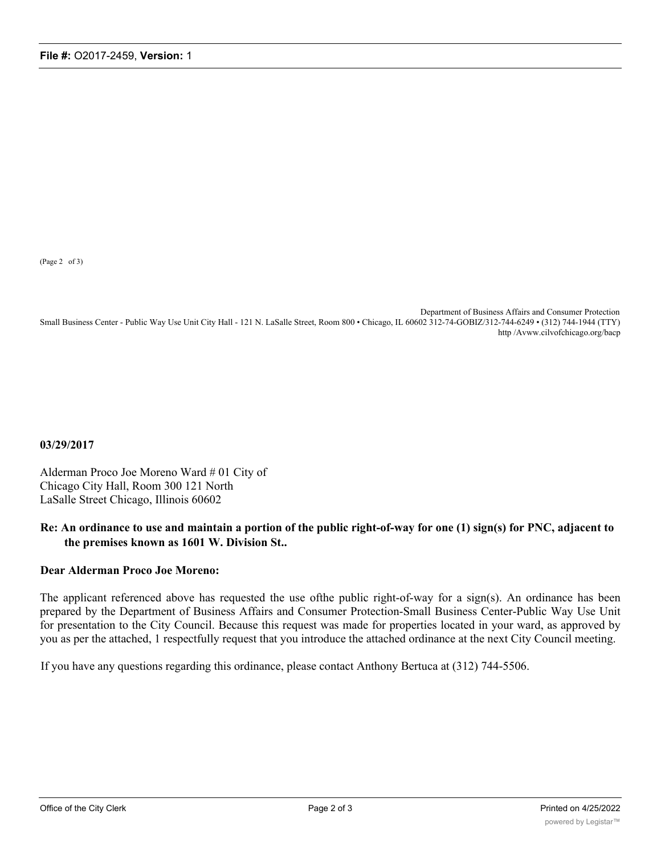(Page 2 of 3)

Department of Business Affairs and Consumer Protection Small Business Center - Public Way Use Unit City Hall - 121 N. LaSalle Street, Room 800 • Chicago, IL 60602 312-74-GOBIZ/312-744-6249 • (312) 744-1944 (TTY) http /Avww.cilvofchicago.org/bacp

**03/29/2017**

Alderman Proco Joe Moreno Ward # 01 City of Chicago City Hall, Room 300 121 North LaSalle Street Chicago, Illinois 60602

## **Re: An ordinance to use and maintain a portion of the public right-of-way for one (1) sign(s) for PNC, adjacent to the premises known as 1601 W. Division St..**

## **Dear Alderman Proco Joe Moreno:**

The applicant referenced above has requested the use ofthe public right-of-way for a sign(s). An ordinance has been prepared by the Department of Business Affairs and Consumer Protection-Small Business Center-Public Way Use Unit for presentation to the City Council. Because this request was made for properties located in your ward, as approved by you as per the attached, 1 respectfully request that you introduce the attached ordinance at the next City Council meeting.

If you have any questions regarding this ordinance, please contact Anthony Bertuca at (312) 744-5506.